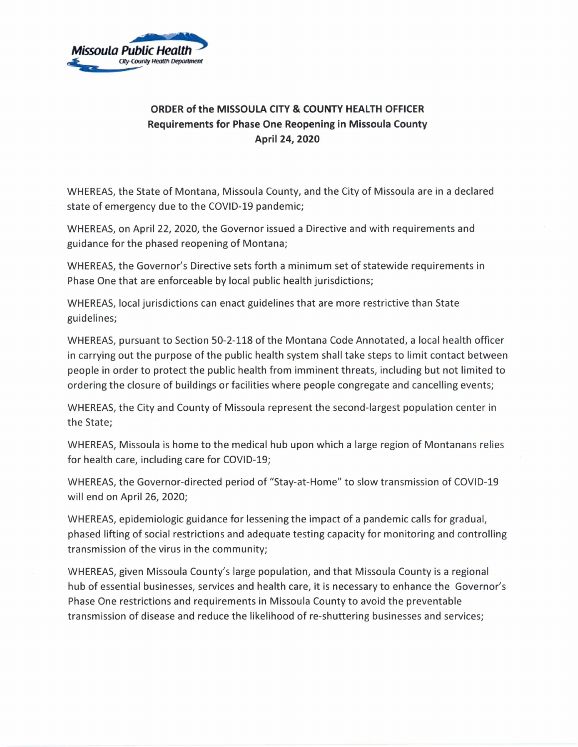

## ORDER of the MISSOULA CITY & COUNTY HEALTH OFFICER Requirements for Phase One Reopening in Missoula County April 24, 2020

WHEREAS, the State of Montana, Missoula County, and the City of Missoula are in a declared state of emergency due to the COVID-19 pandemic;

WHEREAS, on April 22, 2020, the Governor issued a Directive and with requirements and guidance for the phased reopening of Montana;

WHEREAS, the Governor's Directive sets forth a minimum set of statewide requirements in Phase One that are enforceable by local public health jurisdictions;

WHEREAS, local jurisdictions can enact guidelines that are more restrictive than State guidelines;

WHEREAS, pursuant to Section 50-2-118 of the Montana Code Annotated, a local health officer in carrying out the purpose of the public health system shall take steps to limit contact between people in order to protect the public health from imminent threats, including but not limited to ordering the closure of buildings or facilities where people congregate and cancelling events;

WHEREAS, the City and County of Missoula represent the second-largest population center in the State;

WHEREAS, Missoula is home to the medical hub upon which a large region of Montanans relies for health care, including care for COVID-19;

WHEREAS, the Governor-directed period of "Stay-at-Home" to slow transmission of COVID-19 will end on April 26, 2020;

WHEREAS, epidemiologic guidance for lessening the impact of a pandemic calls for gradual, phased lifting of social restrictions and adequate testing capacity for monitoring and controlling transmission of the virus in the community;

WHEREAS, given Missoula County's large population, and that Missoula County is a regional hub of essential businesses, services and health care, it is necessary to enhance the Governor's Phase One restrictions and requirements in Missoula County to avoid the preventable transmission of disease and reduce the likelihood of re-shuttering businesses and services;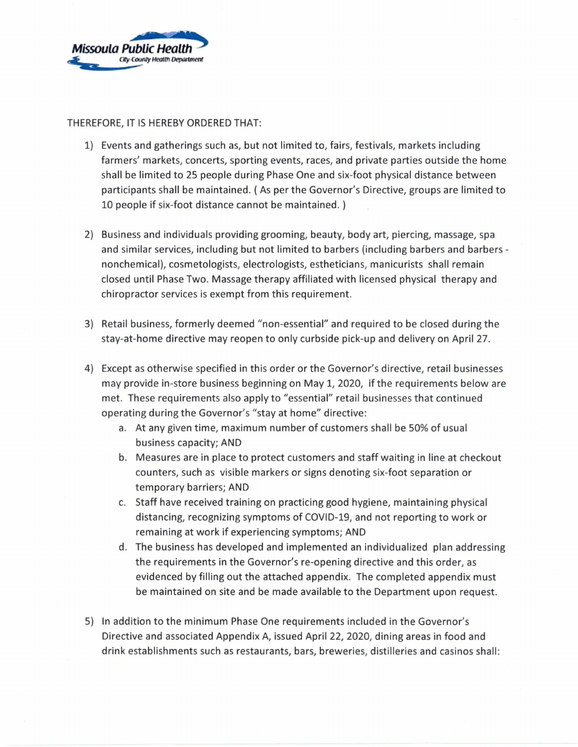

## THEREFORE, IT IS HEREBY ORDERED THAT:

- 1) Events and gatherings such as, but not limited to, fairs, festivals, markets including farmers' markets, concerts, sporting events, races, and private parties outside the home shall be limited to 25 people during Phase One and six-foot physical distance between participants shall be maintained. ( As per the Governor's Directive, groups are limited to 10 people if six-foot distance cannot be maintained. )
- 2) Business and individuals providing grooming, beauty, body art, piercing, massage, spa and similar services, including but not limited to barbers (including barbers and barbers nonchemical), cosmetologists, electrologists, estheticians, manicurists shall remain closed until Phase Two. Massage therapy affiliated with licensed physical therapy and chiropractor services is exempt from this requirement.
- 3) Retail business, formerly deemed "non-essential" and required to be closed during the stay-at-home directive may reopen to only curbside pick-up and delivery on April 27.
- 4) Except as otherwise specified in this order or the Governor's directive, retail businesses may provide in-store business beginning on May 1, 2020, if the requirements below are met. These requirements also apply to "essential" retail businesses that continued operating during the Governor's "stay at home" directive:
	- a. At any given time, maximum number of customers shall be 50% of usual business capacity; AND
	- b. Measures are in place to protect customers and staff waiting in line at checkout counters, such as visible markers or signs denoting six-foot separation or temporary barriers; AND
	- c. Staff have received training on practicing good hygiene, maintaining physical distancing, recognizing symptoms of COVID-19, and not reporting to work or remaining at work if experiencing symptoms; AND
	- d. The business has developed and implemented an individualized plan addressing the requirements in the Governor's re-opening directive and this order, as evidenced by filling out the attached appendix. The completed appendix must be maintained on site and be made available to the Department upon request.
- 5) In addition to the minimum Phase One requirements included in the Governor's Directive and associated Appendix A, issued April 22, 2020, dining areas in food and drink establishments such as restaurants, bars, breweries, distilleries and casinos shall: